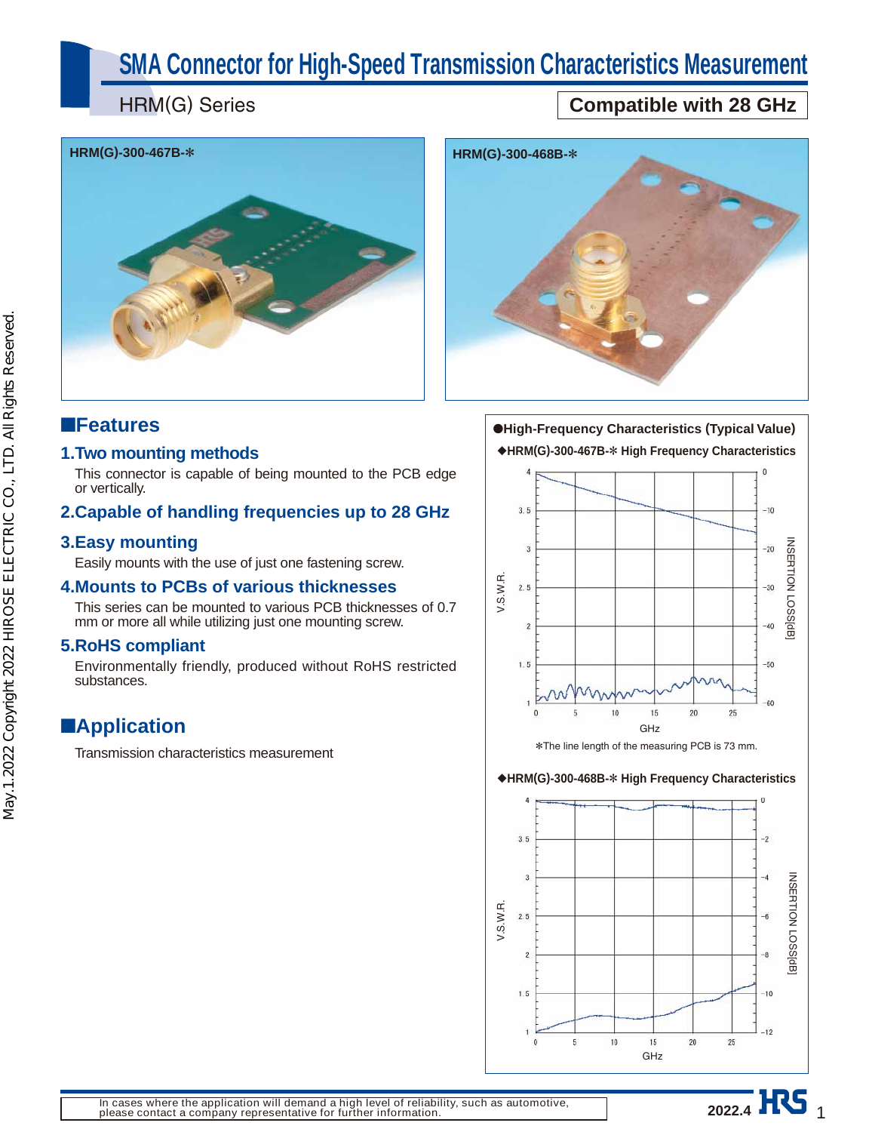# **SMA Connector for High-Speed Transmission Characteristics Measurement**

HRM(G) Series

## **Compatible with 28 GHz**





## ■**Features**

#### **1. Two mounting methods**

This connector is capable of being mounted to the PCB edge or vertically.

#### **2. Capable of handling frequencies up to 28 GHz**

#### **3. Easy mounting**

Easily mounts with the use of just one fastening screw.

#### **4. Mounts to PCBs of various thicknesses**

This series can be mounted to various PCB thicknesses of 0.7 mm or more all while utilizing just one mounting screw.

### **5. RoHS compliant**

Environmentally friendly, produced without RoHS restricted substances.

## ■**Application**

Transmission characteristics measurement

●**High-Frequency Characteristics (Typical Value)** ◆**HRM(G)-300-467B-**\* **High Frequency Characteristics**



#### ◆**HRM(G)-300-468B-**\* **High Frequency Characteristics**

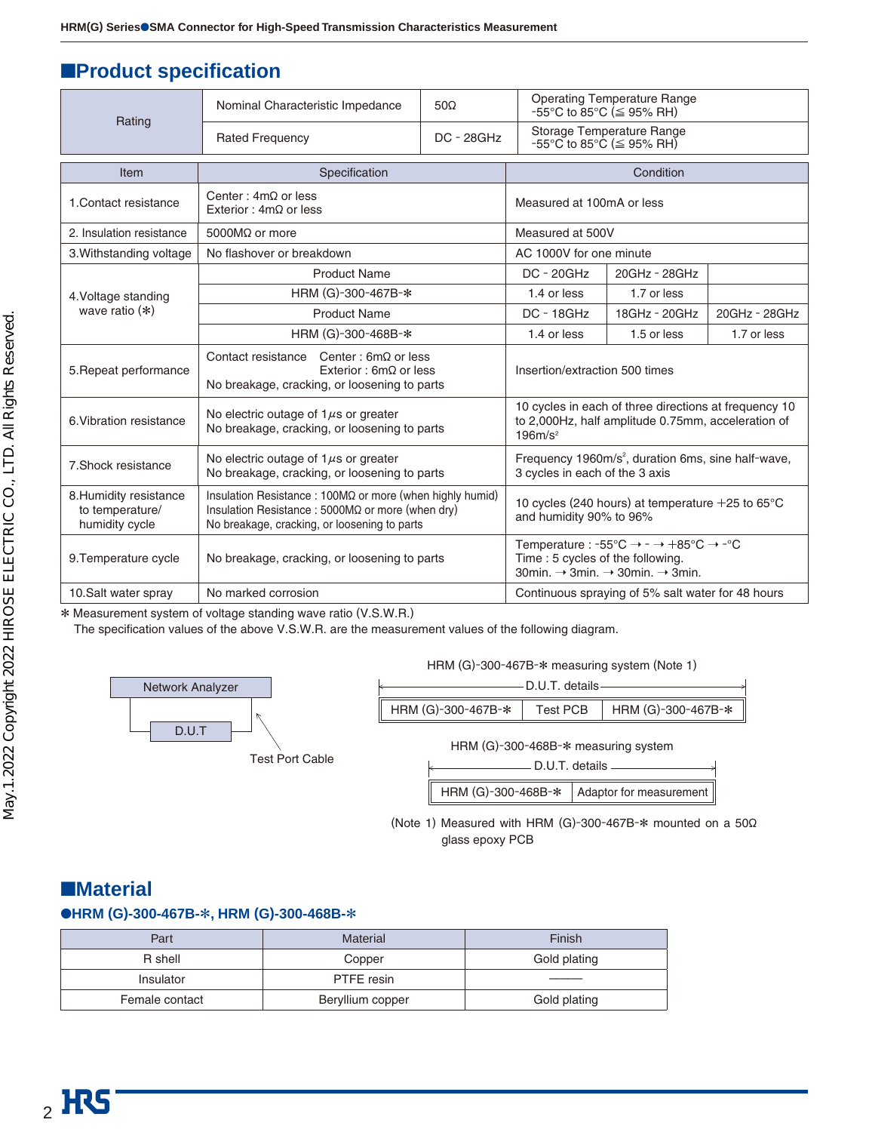## ■**Product specification**

|                                                             | Nominal Characteristic Impedance                                                                                                                                      | $50\Omega$                                                                              | $-55^{\circ}$ C to 85 $^{\circ}$ C ( $\leq$ 95% RH)                                                                                                                                  | <b>Operating Temperature Range</b> |               |
|-------------------------------------------------------------|-----------------------------------------------------------------------------------------------------------------------------------------------------------------------|-----------------------------------------------------------------------------------------|--------------------------------------------------------------------------------------------------------------------------------------------------------------------------------------|------------------------------------|---------------|
| Rating                                                      | <b>Rated Frequency</b>                                                                                                                                                | $DC - 28GHz$                                                                            | Storage Temperature Range<br>$-55^{\circ}$ C to 85 $^{\circ}$ C ( $\leq$ 95% RH)                                                                                                     |                                    |               |
| Item                                                        | Specification                                                                                                                                                         |                                                                                         |                                                                                                                                                                                      | Condition                          |               |
| 1. Contact resistance                                       | Center: $4m\Omega$ or less<br>Exterior: $4m\Omega$ or less                                                                                                            |                                                                                         | Measured at 100mA or less                                                                                                                                                            |                                    |               |
| 2. Insulation resistance                                    | 5000 $M\Omega$ or more                                                                                                                                                |                                                                                         | Measured at 500V                                                                                                                                                                     |                                    |               |
| 3. Withstanding voltage                                     | No flashover or breakdown                                                                                                                                             |                                                                                         | AC 1000V for one minute                                                                                                                                                              |                                    |               |
|                                                             | <b>Product Name</b>                                                                                                                                                   |                                                                                         | <b>DC - 20GHz</b>                                                                                                                                                                    | 20GHz - 28GHz                      |               |
| 4. Voltage standing                                         | HRM (G)-300-467B-*                                                                                                                                                    |                                                                                         | 1.4 or less                                                                                                                                                                          | 1.7 or less                        |               |
| wave ratio $(*)$                                            | <b>Product Name</b>                                                                                                                                                   |                                                                                         | $DC - 18GHz$                                                                                                                                                                         | 18GHz - 20GHz                      | 20GHz - 28GHz |
|                                                             | HRM (G)-300-468B-*                                                                                                                                                    |                                                                                         | 1.4 or less                                                                                                                                                                          | 1.5 or less                        | 1.7 or less   |
| 5. Repeat performance                                       | Contact resistance Center: $6m\Omega$ or less<br>Exterior: $6m\Omega$ or less<br>No breakage, cracking, or loosening to parts                                         |                                                                                         | Insertion/extraction 500 times                                                                                                                                                       |                                    |               |
| 6. Vibration resistance                                     | No electric outage of $1\mu s$ or greater<br>No breakage, cracking, or loosening to parts                                                                             |                                                                                         | 10 cycles in each of three directions at frequency 10<br>to 2,000Hz, half amplitude 0.75mm, acceleration of<br>$196m/s^2$                                                            |                                    |               |
| 7. Shock resistance                                         | No electric outage of $1\mu s$ or greater<br>No breakage, cracking, or loosening to parts                                                                             |                                                                                         | Frequency 1960m/s <sup>2</sup> , duration 6ms, sine half-wave,<br>3 cycles in each of the 3 axis                                                                                     |                                    |               |
| 8. Humidity resistance<br>to temperature/<br>humidity cycle | Insulation Resistance: 100MΩ or more (when highly humid)<br>Insulation Resistance : 5000M $\Omega$ or more (when dry)<br>No breakage, cracking, or loosening to parts | 10 cycles (240 hours) at temperature $+25$ to 65 $\degree$ C<br>and humidity 90% to 96% |                                                                                                                                                                                      |                                    |               |
| 9. Temperature cycle                                        | No breakage, cracking, or loosening to parts                                                                                                                          |                                                                                         | Temperature : -55°C $\rightarrow$ - $\rightarrow$ +85°C $\rightarrow$ -°C<br>Time: 5 cycles of the following.<br>30min. $\rightarrow$ 3min. $\rightarrow$ 30min. $\rightarrow$ 3min. |                                    |               |
| 10. Salt water spray                                        | No marked corrosion                                                                                                                                                   |                                                                                         | Continuous spraying of 5% salt water for 48 hours                                                                                                                                    |                                    |               |

\* Measurement system of voltage standing wave ratio (V.S.W.R.)

The specification values of the above V.S.W.R. are the measurement values of the following diagram.



HRM (G)-300-467B-\* measuring system (Note 1)

|                    | -D.U.T. details- |                                     |
|--------------------|------------------|-------------------------------------|
| HRM (G)-300-467B-* |                  | Test PCB   HRM (G)-300-467B- $\ast$ |

HRM (G)-300-468B-\* measuring system

|  |  | D.U.T. details |
|--|--|----------------|
|  |  |                |

|  |  | HRM (G)-300-468B-*   Adaptor for measurement |
|--|--|----------------------------------------------|
|--|--|----------------------------------------------|

(Note 1) Measured with HRM (G)-300-467B- $*$  mounted on a 50 $\Omega$ glass epoxy PCB

## ■**Material**

#### ●**HRM (G)-300-467B-**\***, HRM (G)-300-468B-**\*

| Part           | <b>Material</b>  | Finish       |
|----------------|------------------|--------------|
| R shell        | Copper           | Gold plating |
| Insulator      | PTFE resin       |              |
| Female contact | Beryllium copper | Gold plating |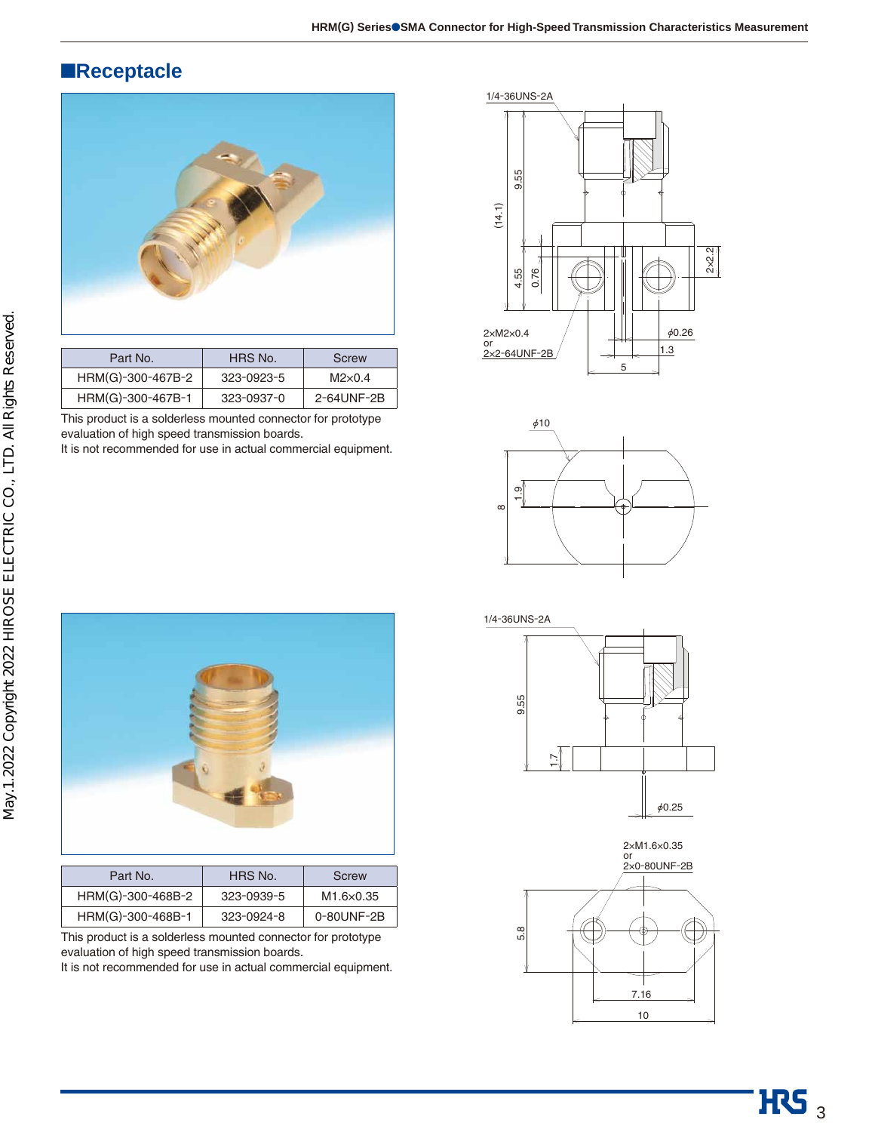## ■**Receptacle**



| Part No.          | HRS No.    | Screw          |
|-------------------|------------|----------------|
| HRM(G)-300-467B-2 | 323-0923-5 | $M2\times 0.4$ |
| HRM(G)-300-467B-1 | 323-0937-0 | 2-64UNF-2B     |

This product is a solderless mounted connector for prototype evaluation of high speed transmission boards.

It is not recommended for use in actual commercial equipment.







| Part No.          | HRS No.    | Screw      |
|-------------------|------------|------------|
| HRM(G)-300-468B-2 | 323-0939-5 | M1.6×0.35  |
| HRM(G)-300-468B-1 | 323-0924-8 | 0-80UNF-2B |

This product is a solderless mounted connector for prototype evaluation of high speed transmission boards.

It is not recommended for use in actual commercial equipment.





5.8